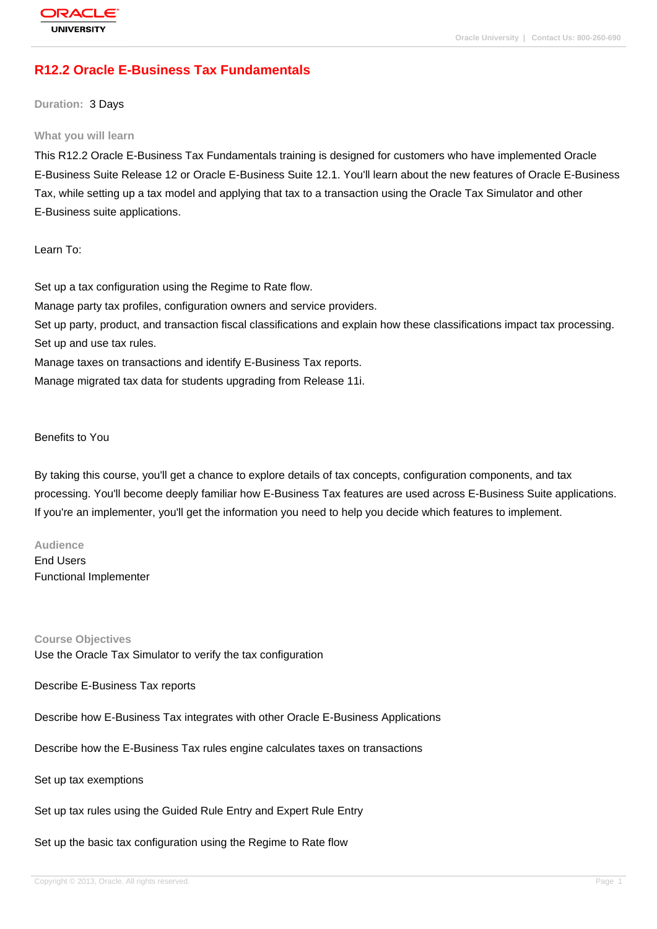# **[R12.2 Oracle E](http://education.oracle.com/pls/web_prod-plq-dad/db_pages.getpage?page_id=3)-Business Tax Fundamentals**

**Duration:** 3 Days

#### **What you will learn**

This R12.2 Oracle E-Business Tax Fundamentals training is designed for customers who have implemented Oracle E-Business Suite Release 12 or Oracle E-Business Suite 12.1. You'll learn about the new features of Oracle E-Business Tax, while setting up a tax model and applying that tax to a transaction using the Oracle Tax Simulator and other E-Business suite applications.

Learn To:

Set up a tax configuration using the Regime to Rate flow. Manage party tax profiles, configuration owners and service providers. Set up party, product, and transaction fiscal classifications and explain how these classifications impact tax processing. Set up and use tax rules. Manage taxes on transactions and identify E-Business Tax reports. Manage migrated tax data for students upgrading from Release 11i.

Benefits to You

By taking this course, you'll get a chance to explore details of tax concepts, configuration components, and tax processing. You'll become deeply familiar how E-Business Tax features are used across E-Business Suite applications. If you're an implementer, you'll get the information you need to help you decide which features to implement.

**Audience** End Users Functional Implementer

**Course Objectives** Use the Oracle Tax Simulator to verify the tax configuration

Describe E-Business Tax reports

Describe how E-Business Tax integrates with other Oracle E-Business Applications

Describe how the E-Business Tax rules engine calculates taxes on transactions

Set up tax exemptions

Set up tax rules using the Guided Rule Entry and Expert Rule Entry

Set up the basic tax configuration using the Regime to Rate flow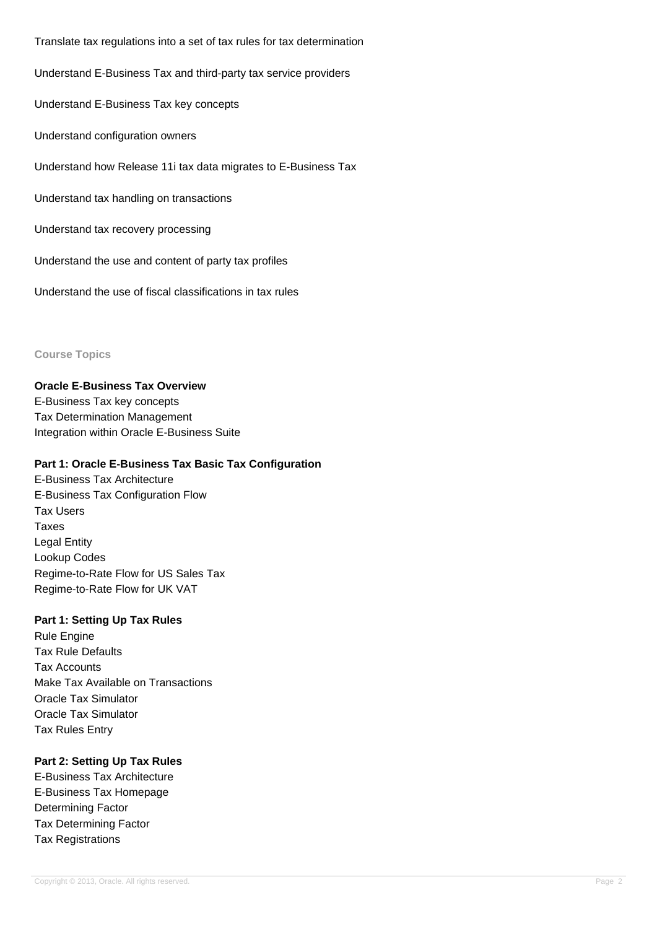Translate tax regulations into a set of tax rules for tax determination Understand E-Business Tax and third-party tax service providers Understand E-Business Tax key concepts Understand configuration owners Understand how Release 11i tax data migrates to E-Business Tax Understand tax handling on transactions Understand tax recovery processing Understand the use and content of party tax profiles

Understand the use of fiscal classifications in tax rules

#### **Course Topics**

**Oracle E-Business Tax Overview** E-Business Tax key concepts Tax Determination Management Integration within Oracle E-Business Suite

## **Part 1: Oracle E-Business Tax Basic Tax Configuration**

E-Business Tax Architecture E-Business Tax Configuration Flow Tax Users Taxes Legal Entity Lookup Codes Regime-to-Rate Flow for US Sales Tax Regime-to-Rate Flow for UK VAT

## **Part 1: Setting Up Tax Rules**

Rule Engine Tax Rule Defaults Tax Accounts Make Tax Available on Transactions Oracle Tax Simulator Oracle Tax Simulator Tax Rules Entry

## **Part 2: Setting Up Tax Rules**

E-Business Tax Architecture E-Business Tax Homepage Determining Factor Tax Determining Factor Tax Registrations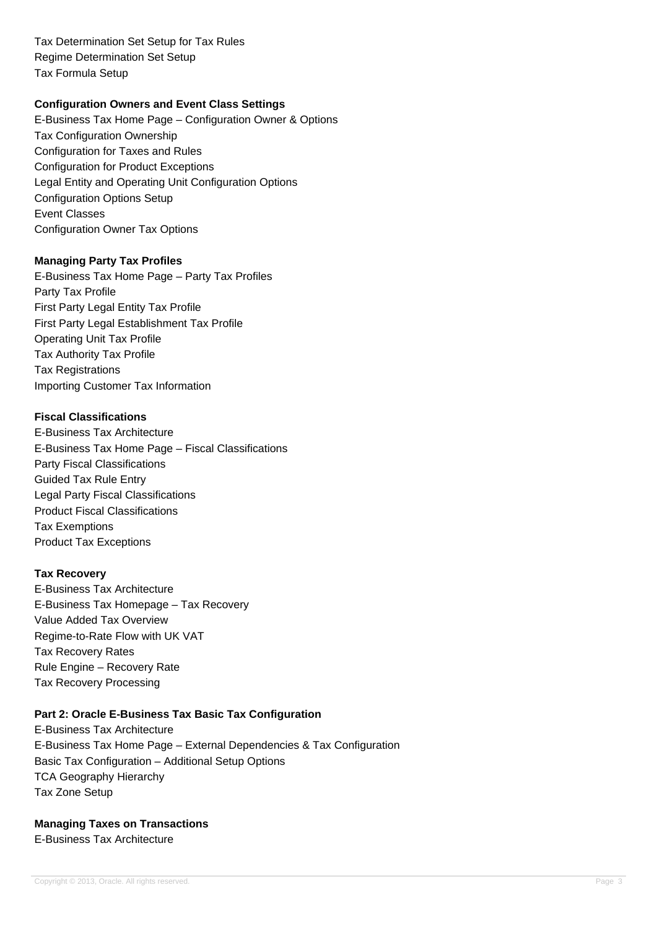Tax Determination Set Setup for Tax Rules Regime Determination Set Setup Tax Formula Setup

## **Configuration Owners and Event Class Settings**

E-Business Tax Home Page – Configuration Owner & Options Tax Configuration Ownership Configuration for Taxes and Rules Configuration for Product Exceptions Legal Entity and Operating Unit Configuration Options Configuration Options Setup Event Classes Configuration Owner Tax Options

#### **Managing Party Tax Profiles**

E-Business Tax Home Page – Party Tax Profiles Party Tax Profile First Party Legal Entity Tax Profile First Party Legal Establishment Tax Profile Operating Unit Tax Profile Tax Authority Tax Profile Tax Registrations Importing Customer Tax Information

### **Fiscal Classifications**

E-Business Tax Architecture E-Business Tax Home Page – Fiscal Classifications Party Fiscal Classifications Guided Tax Rule Entry Legal Party Fiscal Classifications Product Fiscal Classifications Tax Exemptions Product Tax Exceptions

### **Tax Recovery**

E-Business Tax Architecture E-Business Tax Homepage – Tax Recovery Value Added Tax Overview Regime-to-Rate Flow with UK VAT Tax Recovery Rates Rule Engine – Recovery Rate Tax Recovery Processing

## **Part 2: Oracle E-Business Tax Basic Tax Configuration**

E-Business Tax Architecture E-Business Tax Home Page – External Dependencies & Tax Configuration Basic Tax Configuration – Additional Setup Options TCA Geography Hierarchy Tax Zone Setup

## **Managing Taxes on Transactions**

E-Business Tax Architecture